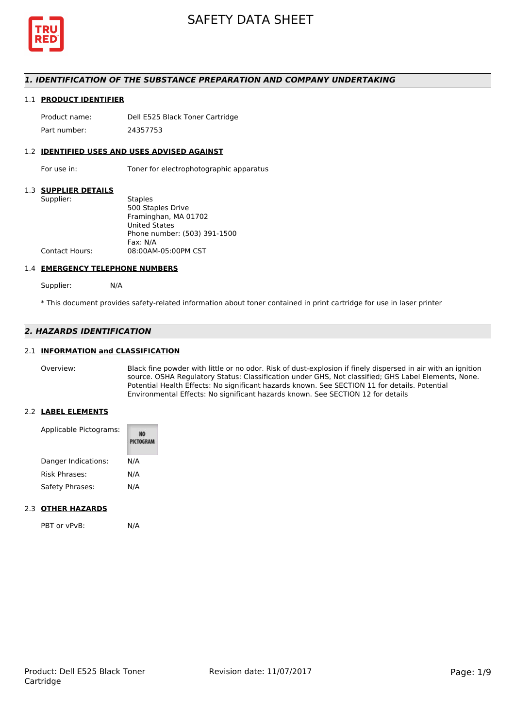

# *1. IDENTIFICATION OF THE SUBSTANCE PREPARATION AND COMPANY UNDERTAKING*

# 1.1 **PRODUCT IDENTIFIER**

Product name: Dell E525 Black Toner Cartridge Part number: 24357753

#### 1.2 **IDENTIFIED USES AND USES ADVISED AGAINST**

For use in: Toner for electrophotographic apparatus

# 1.3 **SUPPLIER DETAILS**

| Supplier:             | <b>Staples</b>               |
|-----------------------|------------------------------|
|                       | 500 Staples Drive            |
|                       | Framinghan, MA 01702         |
|                       | <b>United States</b>         |
|                       | Phone number: (503) 391-1500 |
|                       | Fax: N/A                     |
| <b>Contact Hours:</b> | 08:00AM-05:00PM CST          |
|                       |                              |

#### 1.4 **EMERGENCY TELEPHONE NUMBERS**

Supplier: N/A

\* This document provides safety-related information about toner contained in print cartridge for use in laser printer

# *2. HAZARDS IDENTIFICATION*

## 2.1 **INFORMATION and CLASSIFICATION**

Overview: Black fine powder with little or no odor. Risk of dust-explosion if finely dispersed in air with an ignition source. OSHA Regulatory Status: Classification under GHS, Not classified; GHS Label Elements, None. Potential Health Effects: No significant hazards known. See SECTION 11 for details. Potential Environmental Effects: No significant hazards known. See SECTION 12 for details

#### 2.2 **LABEL ELEMENTS**

| Applicable Pictograms: | PICTOGRAM |  |
|------------------------|-----------|--|
| Danger Indications:    | N/A       |  |
| Risk Phrases:          | N/A       |  |
| Safety Phrases:        | N/A       |  |

# 2.3 **OTHER HAZARDS**

PBT or vPvB: N/A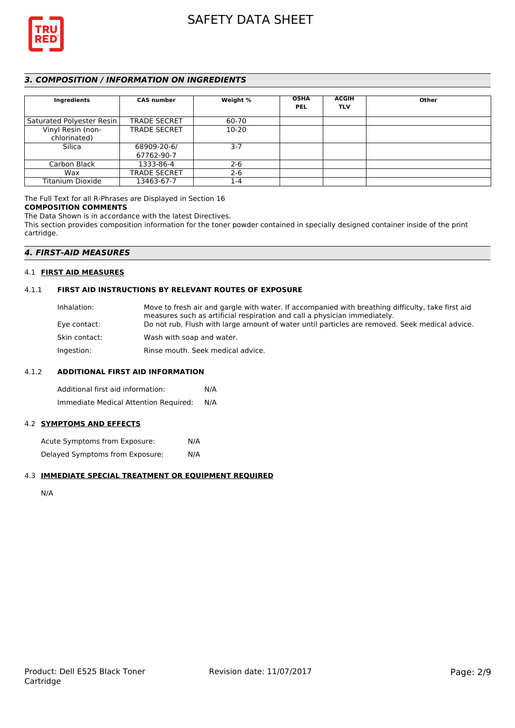

# *3. COMPOSITION / INFORMATION ON INGREDIENTS*

| Ingredients               | <b>CAS number</b>   | Weight %  | <b>OSHA</b><br><b>PEL</b> | <b>ACGIH</b><br><b>TLV</b> | Other |
|---------------------------|---------------------|-----------|---------------------------|----------------------------|-------|
|                           |                     |           |                           |                            |       |
| Saturated Polyester Resin | <b>TRADE SECRET</b> | 60-70     |                           |                            |       |
| Vinyl Resin (non-         | <b>TRADE SECRET</b> | $10 - 20$ |                           |                            |       |
| chlorinated)              |                     |           |                           |                            |       |
| Silica                    | 68909-20-6/         | $3 - 7$   |                           |                            |       |
|                           | 67762-90-7          |           |                           |                            |       |
| Carbon Black              | 1333-86-4           | $2 - 6$   |                           |                            |       |
| Wax                       | <b>TRADE SECRET</b> | $2 - 6$   |                           |                            |       |
| Titanium Dioxide          | 13463-67-7          | 1-4       |                           |                            |       |

# The Full Text for all R-Phrases are Displayed in Section 16

# **COMPOSITION COMMENTS**

The Data Shown is in accordance with the latest Directives.

This section provides composition information for the toner powder contained in specially designed container inside of the print cartridge.

# *4. FIRST-AID MEASURES*

# 4.1 **FIRST AID MEASURES**

# 4.1.1 **FIRST AID INSTRUCTIONS BY RELEVANT ROUTES OF EXPOSURE**

| Inhalation:   | Move to fresh air and gargle with water. If accompanied with breathing difficulty, take first aid<br>measures such as artificial respiration and call a physician immediately. |
|---------------|--------------------------------------------------------------------------------------------------------------------------------------------------------------------------------|
| Eye contact:  | Do not rub. Flush with large amount of water until particles are removed. Seek medical advice.                                                                                 |
| Skin contact: | Wash with soap and water.                                                                                                                                                      |
| Ingestion:    | Rinse mouth. Seek medical advice.                                                                                                                                              |

# 4.1.2 **ADDITIONAL FIRST AID INFORMATION**

Additional first aid information: N/A Immediate Medical Attention Required: N/A

#### 4.2 **SYMPTOMS AND EFFECTS**

Acute Symptoms from Exposure: N/A Delayed Symptoms from Exposure: N/A

### 4.3 **IMMEDIATE SPECIAL TREATMENT OR EQUIPMENT REQUIRED**

N/A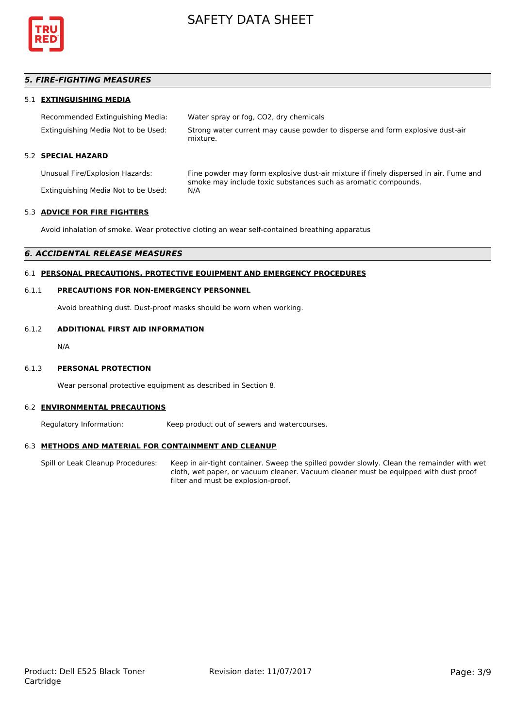

# *5. FIRE-FIGHTING MEASURES*

# 5.1 **EXTINGUISHING MEDIA**

| Recommended Extinguishing Media:    | Water spray or fog, CO2, dry chemicals                                                    |
|-------------------------------------|-------------------------------------------------------------------------------------------|
| Extinguishing Media Not to be Used: | Strong water current may cause powder to disperse and form explosive dust-air<br>mixture. |

# 5.2 **SPECIAL HAZARD**

Unusual Fire/Explosion Hazards: Fine powder may form explosive dust-air mixture if finely dispersed in air. Fume and smoke may include toxic substances such as aromatic compounds. Extinguishing Media Not to be Used: N/A

# 5.3 **ADVICE FOR FIRE FIGHTERS**

Avoid inhalation of smoke. Wear protective cloting an wear self-contained breathing apparatus

# *6. ACCIDENTAL RELEASE MEASURES*

# 6.1 **PERSONAL PRECAUTIONS, PROTECTIVE EQUIPMENT AND EMERGENCY PROCEDURES**

## 6.1.1 **PRECAUTIONS FOR NON-EMERGENCY PERSONNEL**

Avoid breathing dust. Dust-proof masks should be worn when working.

### 6.1.2 **ADDITIONAL FIRST AID INFORMATION**

N/A

#### 6.1.3 **PERSONAL PROTECTION**

Wear personal protective equipment as described in Section 8.

#### 6.2 **ENVIRONMENTAL PRECAUTIONS**

Regulatory Information: Keep product out of sewers and watercourses.

#### 6.3 **METHODS AND MATERIAL FOR CONTAINMENT AND CLEANUP**

Spill or Leak Cleanup Procedures: Keep in air-tight container. Sweep the spilled powder slowly. Clean the remainder with wet cloth, wet paper, or vacuum cleaner. Vacuum cleaner must be equipped with dust proof filter and must be explosion-proof.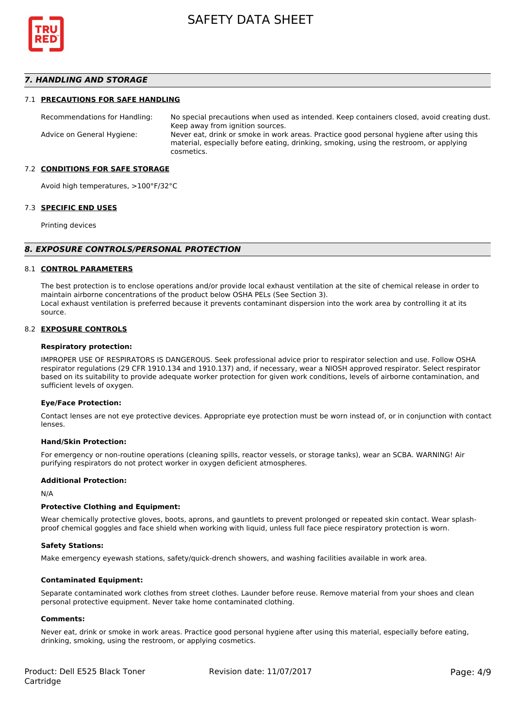

# *7. HANDLING AND STORAGE*

#### 7.1 **PRECAUTIONS FOR SAFE HANDLING**

Recommendations for Handling: No special precautions when used as intended. Keep containers closed, avoid creating dust. Keep away from ignition sources. Advice on General Hygiene: Never eat, drink or smoke in work areas. Practice good personal hygiene after using this material, especially before eating, drinking, smoking, using the restroom, or applying cosmetics.

#### 7.2 **CONDITIONS FOR SAFE STORAGE**

Avoid high temperatures, >100°F/32°C

#### 7.3 **SPECIFIC END USES**

Printing devices

#### *8. EXPOSURE CONTROLS/PERSONAL PROTECTION*

#### 8.1 **CONTROL PARAMETERS**

The best protection is to enclose operations and/or provide local exhaust ventilation at the site of chemical release in order to maintain airborne concentrations of the product below OSHA PELs (See Section 3). Local exhaust ventilation is preferred because it prevents contaminant dispersion into the work area by controlling it at its source.

#### 8.2 **EXPOSURE CONTROLS**

#### **Respiratory protection:**

IMPROPER USE OF RESPIRATORS IS DANGEROUS. Seek professional advice prior to respirator selection and use. Follow OSHA respirator regulations (29 CFR 1910.134 and 1910.137) and, if necessary, wear a NIOSH approved respirator. Select respirator based on its suitability to provide adequate worker protection for given work conditions, levels of airborne contamination, and sufficient levels of oxygen.

#### **Eye/Face Protection:**

Contact lenses are not eye protective devices. Appropriate eye protection must be worn instead of, or in conjunction with contact lenses.

#### **Hand/Skin Protection:**

For emergency or non-routine operations (cleaning spills, reactor vessels, or storage tanks), wear an SCBA. WARNING! Air purifying respirators do not protect worker in oxygen deficient atmospheres.

## **Additional Protection:**

N/A

#### **Protective Clothing and Equipment:**

Wear chemically protective gloves, boots, aprons, and gauntlets to prevent prolonged or repeated skin contact. Wear splashproof chemical goggles and face shield when working with liquid, unless full face piece respiratory protection is worn.

#### **Safety Stations:**

Make emergency eyewash stations, safety/quick-drench showers, and washing facilities available in work area.

#### **Contaminated Equipment:**

Separate contaminated work clothes from street clothes. Launder before reuse. Remove material from your shoes and clean personal protective equipment. Never take home contaminated clothing.

#### **Comments:**

Never eat, drink or smoke in work areas. Practice good personal hygiene after using this material, especially before eating, drinking, smoking, using the restroom, or applying cosmetics.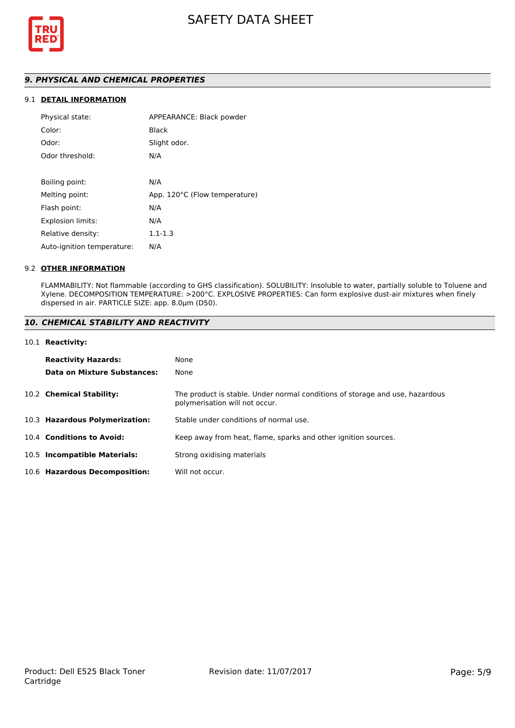

# *9. PHYSICAL AND CHEMICAL PROPERTIES*

# 9.1 **DETAIL INFORMATION**

| Physical state:            | APPEARANCE: Black powder      |
|----------------------------|-------------------------------|
| Color:                     | <b>Black</b>                  |
| Odor:                      | Slight odor.                  |
| Odor threshold:            | N/A                           |
|                            |                               |
| Boiling point:             | N/A                           |
| Melting point:             | App. 120°C (Flow temperature) |
| Flash point:               | N/A                           |
| <b>Explosion limits:</b>   | N/A                           |
| Relative density:          | $1.1 - 1.3$                   |
| Auto-ignition temperature: | N/A                           |

### 9.2 **OTHER INFORMATION**

FLAMMABILITY: Not flammable (according to GHS classification). SOLUBILITY: Insoluble to water, partially soluble to Toluene and Xylene. DECOMPOSITION TEMPERATURE: >200°C. EXPLOSIVE PROPERTIES: Can form explosive dust-air mixtures when finely dispersed in air. PARTICLE SIZE: app. 8.0µm (D50).

# *10. CHEMICAL STABILITY AND REACTIVITY*

#### 10.1 **Reactivity:**

| <b>Reactivity Hazards:</b>     | None                                                                                                           |
|--------------------------------|----------------------------------------------------------------------------------------------------------------|
| Data on Mixture Substances:    | None                                                                                                           |
| 10.2 Chemical Stability:       | The product is stable. Under normal conditions of storage and use, hazardous<br>polymerisation will not occur. |
| 10.3 Hazardous Polymerization: | Stable under conditions of normal use.                                                                         |
| 10.4 Conditions to Avoid:      | Keep away from heat, flame, sparks and other ignition sources.                                                 |
| 10.5 Incompatible Materials:   | Strong oxidising materials                                                                                     |
| 10.6 Hazardous Decomposition:  | Will not occur.                                                                                                |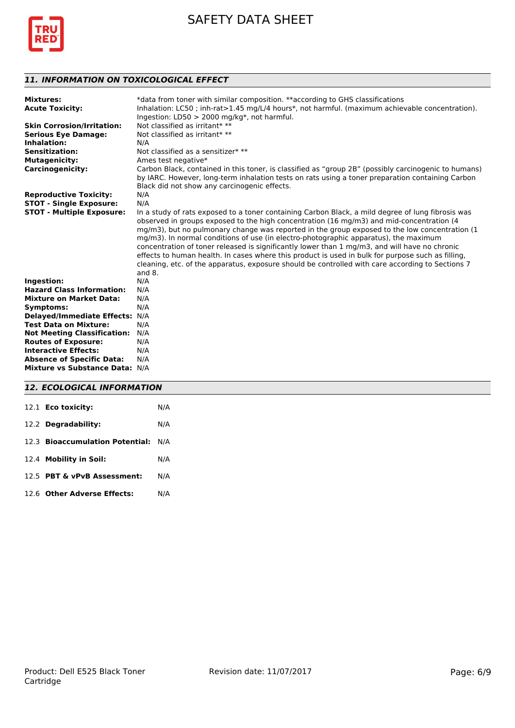



# *11. INFORMATION ON TOXICOLOGICAL EFFECT*

| <b>Mixtures:</b>                   | *data from toner with similar composition. **according to GHS classifications                        |
|------------------------------------|------------------------------------------------------------------------------------------------------|
| <b>Acute Toxicity:</b>             | Inhalation: LC50; inh-rat>1.45 mg/L/4 hours*, not harmful. (maximum achievable concentration).       |
|                                    | Ingestion: $LD50 > 2000$ mg/kg*, not harmful.                                                        |
| <b>Skin Corrosion/Irritation:</b>  | Not classified as irritant* **                                                                       |
| <b>Serious Eye Damage:</b>         | Not classified as irritant* **                                                                       |
| Inhalation:                        | N/A                                                                                                  |
| <b>Sensitization:</b>              | Not classified as a sensitizer* **                                                                   |
| <b>Mutagenicity:</b>               | Ames test negative*                                                                                  |
| <b>Carcinogenicity:</b>            | Carbon Black, contained in this toner, is classified as "group 2B" (possibly carcinogenic to humans) |
|                                    | by IARC. However, long-term inhalation tests on rats using a toner preparation containing Carbon     |
|                                    | Black did not show any carcinogenic effects.                                                         |
| <b>Reproductive Toxicity:</b>      | N/A                                                                                                  |
| <b>STOT - Single Exposure:</b>     | N/A                                                                                                  |
| <b>STOT - Multiple Exposure:</b>   | In a study of rats exposed to a toner containing Carbon Black, a mild degree of lung fibrosis was    |
|                                    | observed in groups exposed to the high concentration (16 mg/m3) and mid-concentration (4             |
|                                    | mg/m3), but no pulmonary change was reported in the group exposed to the low concentration (1)       |
|                                    | mg/m3). In normal conditions of use (in electro-photographic apparatus), the maximum                 |
|                                    | concentration of toner released is significantly lower than 1 mg/m3, and will have no chronic        |
|                                    | effects to human health. In cases where this product is used in bulk for purpose such as filling,    |
|                                    | cleaning, etc. of the apparatus, exposure should be controlled with care according to Sections 7     |
|                                    | and $8.$                                                                                             |
| Ingestion:                         | N/A                                                                                                  |
| <b>Hazard Class Information:</b>   | N/A                                                                                                  |
| <b>Mixture on Market Data:</b>     | N/A                                                                                                  |
| Symptoms:                          | N/A                                                                                                  |
| <b>Delayed/Immediate Effects:</b>  | N/A                                                                                                  |
| <b>Test Data on Mixture:</b>       | N/A                                                                                                  |
| <b>Not Meeting Classification:</b> | N/A                                                                                                  |
| <b>Routes of Exposure:</b>         | N/A                                                                                                  |
| <b>Interactive Effects:</b>        | N/A                                                                                                  |
| <b>Absence of Specific Data:</b>   | N/A                                                                                                  |
| Mixture vs Substance Data: N/A     |                                                                                                      |
|                                    |                                                                                                      |

# *12. ECOLOGICAL INFORMATION*

| 12.1 Eco toxicity:                  | N/A |
|-------------------------------------|-----|
| 12.2 Degradability:                 | N/A |
| 12.3 Bioaccumulation Potential: N/A |     |
| 12.4 Mobility in Soil:              | N/A |
| 12.5 PBT & vPvB Assessment:         | N/A |
| 12.6 Other Adverse Effects:         | N/A |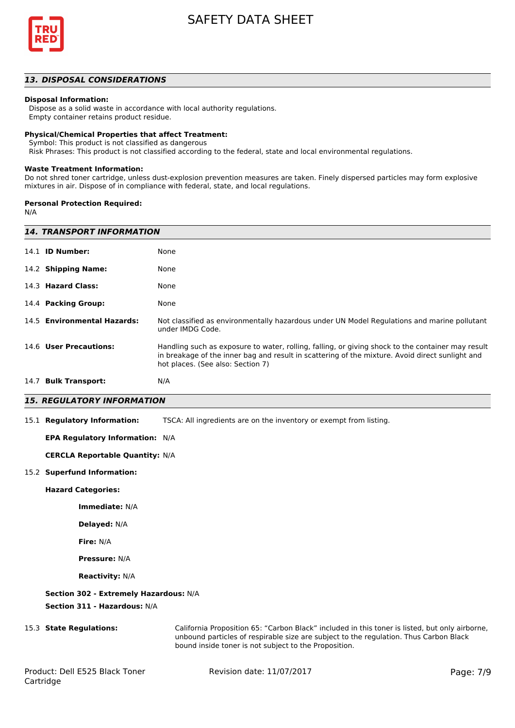

## *13. DISPOSAL CONSIDERATIONS*

#### **Disposal Information:**

 Dispose as a solid waste in accordance with local authority regulations. Empty container retains product residue.

#### **Physical/Chemical Properties that affect Treatment:**

Symbol: This product is not classified as dangerous

Risk Phrases: This product is not classified according to the federal, state and local environmental regulations.

#### **Waste Treatment Information:**

Do not shred toner cartridge, unless dust-explosion prevention measures are taken. Finely dispersed particles may form explosive mixtures in air. Dispose of in compliance with federal, state, and local regulations.

#### **Personal Protection Required:**

N/A

|      | <b>14. TRANSPORT INFORMATION</b> |                                                                                                                                                                                                                                           |  |  |
|------|----------------------------------|-------------------------------------------------------------------------------------------------------------------------------------------------------------------------------------------------------------------------------------------|--|--|
|      | 14.1 <b>ID Number:</b>           | None                                                                                                                                                                                                                                      |  |  |
|      | 14.2 Shipping Name:              | None                                                                                                                                                                                                                                      |  |  |
|      | 14.3 Hazard Class:               | None                                                                                                                                                                                                                                      |  |  |
|      | 14.4 Packing Group:              | None                                                                                                                                                                                                                                      |  |  |
|      | 14.5 Environmental Hazards:      | Not classified as environmentally hazardous under UN Model Regulations and marine pollutant<br>under IMDG Code.                                                                                                                           |  |  |
|      | 14.6 User Precautions:           | Handling such as exposure to water, rolling, falling, or giving shock to the container may result<br>in breakage of the inner bag and result in scattering of the mixture. Avoid direct sunlight and<br>hot places. (See also: Section 7) |  |  |
| 14.7 | <b>Bulk Transport:</b>           | N/A                                                                                                                                                                                                                                       |  |  |

# *15. REGULATORY INFORMATION*

15.1 **Regulatory Information:** TSCA: All ingredients are on the inventory or exempt from listing.

#### **EPA Regulatory Information:** N/A

**CERCLA Reportable Quantity:** N/A

#### 15.2 **Superfund Information:**

**Hazard Categories:**

**Immediate:** N/A

**Delayed:** N/A

**Fire:** N/A

**Pressure:** N/A

**Reactivity:** N/A

#### **Section 302 - Extremely Hazardous:** N/A

**Section 311 - Hazardous:** N/A

15.3 **State Regulations:** California Proposition 65: "Carbon Black" included in this toner is listed, but only airborne, unbound particles of respirable size are subject to the regulation. Thus Carbon Black bound inside toner is not subject to the Proposition.

Revision date: 11/07/2017 Page: 7/9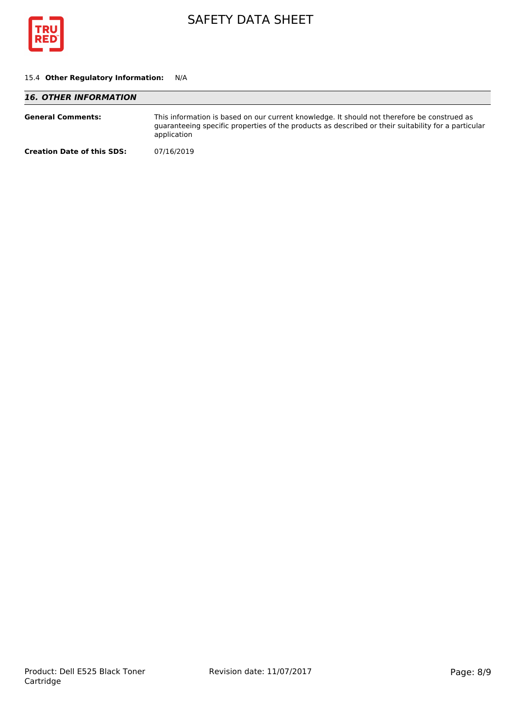

# 15.4 **Other Regulatory Information:** N/A

| <b>16. OTHER INFORMATION</b>      |                                                                                                                                                                                                                   |  |
|-----------------------------------|-------------------------------------------------------------------------------------------------------------------------------------------------------------------------------------------------------------------|--|
| <b>General Comments:</b>          | This information is based on our current knowledge. It should not therefore be construed as<br>guaranteeing specific properties of the products as described or their suitability for a particular<br>application |  |
| <b>Creation Date of this SDS:</b> | 07/16/2019                                                                                                                                                                                                        |  |